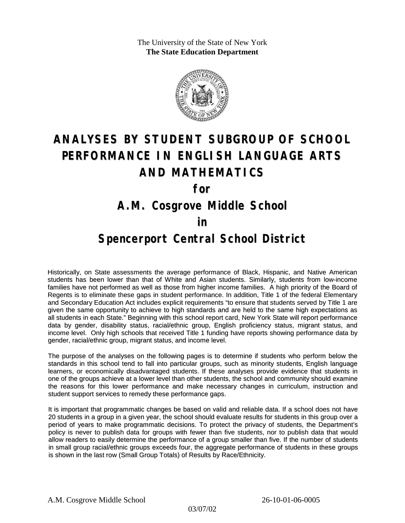The University of the State of New York **The State Education Department**



# **ANALYSES BY STUDENT SUBGROUP OF SCHOOL PERFORMANCE IN ENGLISH LANGUAGE ARTS AND MATHEMATICS**

**for**

### **A.M. Cosgrove Middle School**

#### **in**

### **Spencerport Central School District**

Historically, on State assessments the average performance of Black, Hispanic, and Native American students has been lower than that of White and Asian students. Similarly, students from low-income families have not performed as well as those from higher income families. A high priority of the Board of Regents is to eliminate these gaps in student performance. In addition, Title 1 of the federal Elementary and Secondary Education Act includes explicit requirements "to ensure that students served by Title 1 are given the same opportunity to achieve to high standards and are held to the same high expectations as all students in each State." Beginning with this school report card, New York State will report performance data by gender, disability status, racial/ethnic group, English proficiency status, migrant status, and income level. Only high schools that received Title 1 funding have reports showing performance data by gender, racial/ethnic group, migrant status, and income level.

The purpose of the analyses on the following pages is to determine if students who perform below the standards in this school tend to fall into particular groups, such as minority students, English language learners, or economically disadvantaged students. If these analyses provide evidence that students in one of the groups achieve at a lower level than other students, the school and community should examine the reasons for this lower performance and make necessary changes in curriculum, instruction and student support services to remedy these performance gaps.

It is important that programmatic changes be based on valid and reliable data. If a school does not have 20 students in a group in a given year, the school should evaluate results for students in this group over a period of years to make programmatic decisions. To protect the privacy of students, the Department's policy is never to publish data for groups with fewer than five students, nor to publish data that would allow readers to easily determine the performance of a group smaller than five. If the number of students in small group racial/ethnic groups exceeds four, the aggregate performance of students in these groups is shown in the last row (Small Group Totals) of Results by Race/Ethnicity.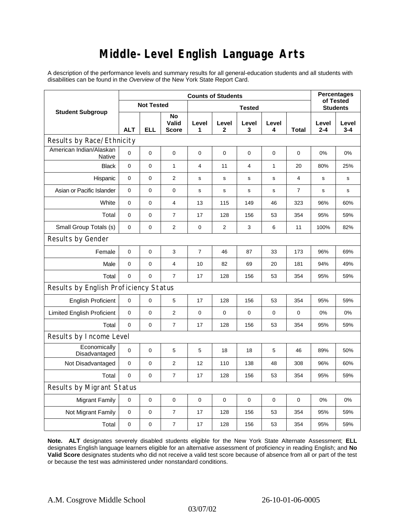# **Middle-Level English Language Arts**

A description of the performance levels and summary results for all general-education students and all students with disabilities can be found in the *Overview* of the New York State Report Card.

| <b>Student Subgroup</b>                  | <b>Counts of Students</b> |             |                             |                |                |                  |              |                | <b>Percentages</b><br>of Tested |              |  |
|------------------------------------------|---------------------------|-------------|-----------------------------|----------------|----------------|------------------|--------------|----------------|---------------------------------|--------------|--|
|                                          | <b>Not Tested</b>         |             |                             | <b>Tested</b>  |                |                  |              |                | <b>Students</b>                 |              |  |
|                                          | <b>ALT</b>                | <b>ELL</b>  | No<br>Valid<br><b>Score</b> | Level<br>1     | Level<br>2     | Level<br>3       | Level<br>4   | Total          | Level<br>$2 - 4$                | Level<br>3-4 |  |
| Results by Race/Ethnicity                |                           |             |                             |                |                |                  |              |                |                                 |              |  |
| American Indian/Alaskan<br><b>Native</b> | $\overline{0}$            | $\mathbf 0$ | $\pmb{0}$                   | $\mathbf 0$    | 0              | $\mathbf 0$      | 0            | 0              | 0%                              | 0%           |  |
| <b>Black</b>                             | 0                         | 0           | $\mathbf{1}$                | $\overline{4}$ | 11             | $\overline{4}$   | $\mathbf{1}$ | 20             | 80%                             | 25%          |  |
| Hispanic                                 | 0                         | 0           | $\overline{2}$              | s              | $\mathbf s$    | $\mathbf s$      | s            | 4              | $\mathbf s$                     | s            |  |
| Asian or Pacific Islander                | 0                         | 0           | $\pmb{0}$                   | s              | $\mathbf s$    | $\mathbf s$      | s            | $\overline{7}$ | s                               | s            |  |
| White                                    | 0                         | 0           | 4                           | 13             | 115            | 149              | 46           | 323            | 96%                             | 60%          |  |
| Total                                    | 0                         | $\pmb{0}$   | $\overline{7}$              | 17             | 128            | 156              | 53           | 354            | 95%                             | 59%          |  |
| Small Group Totals (s)                   | 0                         | 0           | $\mathbf{2}$                | $\mathbf 0$    | $\overline{2}$ | 3                | 6            | 11             | 100%                            | 82%          |  |
| Results by Gender                        |                           |             |                             |                |                |                  |              |                |                                 |              |  |
| Female                                   | 0                         | 0           | 3                           | $\overline{7}$ | 46             | 87               | 33           | 173            | 96%                             | 69%          |  |
| Male                                     | $\mathbf 0$               | 0           | $\overline{4}$              | 10             | 82             | 69               | 20           | 181            | 94%                             | 49%          |  |
| Total                                    | 0                         | 0           | $\overline{7}$              | 17             | 128            | 156              | 53           | 354            | 95%                             | 59%          |  |
| Results by English Proficiency Status    |                           |             |                             |                |                |                  |              |                |                                 |              |  |
| <b>English Proficient</b>                | 0                         | 0           | 5                           | 17             | 128            | 156              | 53           | 354            | 95%                             | 59%          |  |
| <b>Limited English Proficient</b>        | 0                         | 0           | $\overline{2}$              | $\mathbf 0$    | $\mathbf 0$    | $\boldsymbol{0}$ | 0            | 0              | 0%                              | 0%           |  |
| Total                                    | $\mathbf 0$               | 0           | $\overline{7}$              | 17             | 128            | 156              | 53           | 354            | 95%                             | 59%          |  |
| Results by Income Level                  |                           |             |                             |                |                |                  |              |                |                                 |              |  |
| Economically<br>Disadvantaged            | $\mathbf 0$               | 0           | 5                           | 5              | 18             | 18               | 5            | 46             | 89%                             | 50%          |  |
| Not Disadvantaged                        | $\mathbf 0$               | 0           | $\overline{2}$              | 12             | 110            | 138              | 48           | 308            | 96%                             | 60%          |  |
| Total                                    | 0                         | $\pmb{0}$   | $\overline{7}$              | 17             | 128            | 156              | 53           | 354            | 95%                             | 59%          |  |
| Results by Migrant Status                |                           |             |                             |                |                |                  |              |                |                                 |              |  |
| <b>Migrant Family</b>                    | 0                         | 0           | $\pmb{0}$                   | $\mathbf 0$    | $\mathbf 0$    | $\mathbf 0$      | $\mathbf 0$  | 0              | 0%                              | 0%           |  |
| Not Migrant Family                       | 0                         | $\pmb{0}$   | $\boldsymbol{7}$            | 17             | 128            | 156              | 53           | 354            | 95%                             | 59%          |  |
| Total                                    | 0                         | 0           | 7                           | 17             | 128            | 156              | 53           | 354            | 95%                             | 59%          |  |

**Note. ALT** designates severely disabled students eligible for the New York State Alternate Assessment; **ELL** designates English language learners eligible for an alternative assessment of proficiency in reading English; and **No Valid Score** designates students who did not receive a valid test score because of absence from all or part of the test or because the test was administered under nonstandard conditions.

03/07/02